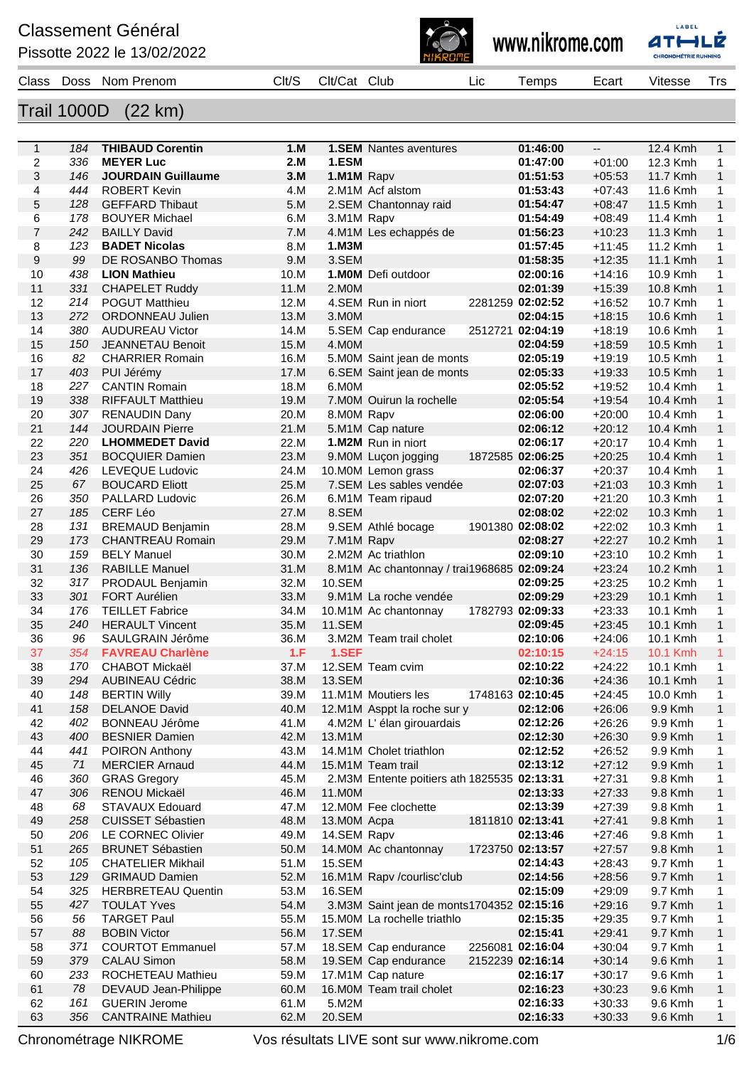## **Classement Général**

Pissotte 2022 le 13/02/2022







| Class | Doss | Prenom<br><b>Non</b> | Clt/S | $\therefore$ lt/ $\subset$<br>∴at | CluL | Lıc<br>$\sim$ | emps | ≞car<br>. | Vites.<br>-- |  |
|-------|------|----------------------|-------|-----------------------------------|------|---------------|------|-----------|--------------|--|

## Trail 1000D (22 km)

| $\mathbf{1}$            | 184 | <b>THIBAUD Corentin</b>   | 1.M  |               | <b>1.SEM</b> Nantes aventures                | 01:46:00         | $\overline{\phantom{a}}$ | 12.4 Kmh | $\mathbf{1}$   |
|-------------------------|-----|---------------------------|------|---------------|----------------------------------------------|------------------|--------------------------|----------|----------------|
| $\overline{\mathbf{c}}$ | 336 | <b>MEYER Luc</b>          | 2.M  | 1.ESM         |                                              | 01:47:00         | $+01:00$                 | 12.3 Kmh | 1              |
| 3                       | 146 | <b>JOURDAIN Guillaume</b> | 3.M  | 1.M1M Rapv    |                                              | 01:51:53         | $+05:53$                 | 11.7 Kmh | $\mathbf{1}$   |
| 4                       | 444 | <b>ROBERT Kevin</b>       | 4.M  |               | 2.M1M Acf alstom                             | 01:53:43         | $+07:43$                 | 11.6 Kmh | 1              |
| 5                       | 128 | <b>GEFFARD Thibaut</b>    | 5.M  |               | 2.SEM Chantonnay raid                        | 01:54:47         | $+08:47$                 | 11.5 Kmh | $\mathbf{1}$   |
| 6                       | 178 | <b>BOUYER Michael</b>     | 6.M  | 3.M1M Rapv    |                                              | 01:54:49         | $+08:49$                 | 11.4 Kmh | 1              |
| $\overline{7}$          | 242 | <b>BAILLY David</b>       | 7.M  |               | 4.M1M Les echappés de                        | 01:56:23         | $+10:23$                 | 11.3 Kmh | $\mathbf{1}$   |
| 8                       | 123 | <b>BADET Nicolas</b>      | 8.M  | 1.M3M         |                                              | 01:57:45         | $+11:45$                 | 11.2 Kmh | 1              |
| 9                       | 99  | DE ROSANBO Thomas         | 9.M  | 3.SEM         |                                              | 01:58:35         | $+12:35$                 | 11.1 Kmh | $\mathbf{1}$   |
| 10                      | 438 | <b>LION Mathieu</b>       | 10.M |               | 1.MOM Defi outdoor                           | 02:00:16         | $+14:16$                 | 10.9 Kmh | 1              |
| 11                      | 331 | <b>CHAPELET Ruddy</b>     | 11.M | 2.MOM         |                                              | 02:01:39         | $+15:39$                 | 10.8 Kmh | $\mathbf{1}$   |
| 12                      | 214 | <b>POGUT Matthieu</b>     | 12.M |               | 4.SEM Run in niort                           | 2281259 02:02:52 | $+16:52$                 | 10.7 Kmh | 1              |
| 13                      | 272 | ORDONNEAU Julien          | 13.M | 3.MOM         |                                              | 02:04:15         | $+18:15$                 | 10.6 Kmh | $\mathbf{1}$   |
| 14                      | 380 | <b>AUDUREAU Victor</b>    | 14.M |               | 5.SEM Cap endurance                          | 2512721 02:04:19 | $+18:19$                 | 10.6 Kmh | 1              |
| 15                      | 150 | JEANNETAU Benoit          | 15.M | 4.MOM         |                                              | 02:04:59         | $+18:59$                 | 10.5 Kmh | $\mathbf{1}$   |
| 16                      | 82  | <b>CHARRIER Romain</b>    | 16.M |               | 5.M0M Saint jean de monts                    | 02:05:19         | $+19:19$                 | 10.5 Kmh | 1              |
| 17                      | 403 | PUI Jérémy                | 17.M |               | 6.SEM Saint jean de monts                    | 02:05:33         | $+19:33$                 | 10.5 Kmh | $\mathbf{1}$   |
| 18                      | 227 | <b>CANTIN Romain</b>      | 18.M | 6.MOM         |                                              | 02:05:52         | $+19:52$                 | 10.4 Kmh | 1              |
| 19                      | 338 | <b>RIFFAULT Matthieu</b>  | 19.M |               | 7.M0M Ouirun la rochelle                     | 02:05:54         | $+19:54$                 | 10.4 Kmh | $\mathbf{1}$   |
| 20                      | 307 | <b>RENAUDIN Dany</b>      | 20.M | 8.MOM Rapv    |                                              | 02:06:00         | $+20:00$                 | 10.4 Kmh | 1              |
| 21                      | 144 | <b>JOURDAIN Pierre</b>    | 21.M |               | 5.M1M Cap nature                             | 02:06:12         | $+20:12$                 | 10.4 Kmh | $\mathbf{1}$   |
| 22                      | 220 | <b>LHOMMEDET David</b>    | 22.M |               | 1.M2M Run in niort                           | 02:06:17         | $+20:17$                 | 10.4 Kmh | 1              |
| 23                      | 351 | <b>BOCQUIER Damien</b>    | 23.M |               | 9.M0M Lucon jogging                          | 1872585 02:06:25 | $+20:25$                 | 10.4 Kmh | $\mathbf{1}$   |
| 24                      | 426 | <b>LEVEQUE Ludovic</b>    | 24.M |               | 10.M0M Lemon grass                           | 02:06:37         | $+20:37$                 | 10.4 Kmh | 1              |
| 25                      | 67  | <b>BOUCARD Eliott</b>     | 25.M |               | 7.SEM Les sables vendée                      | 02:07:03         | $+21:03$                 | 10.3 Kmh | $\mathbf{1}$   |
| 26                      | 350 | PALLARD Ludovic           | 26.M |               | 6.M1M Team ripaud                            | 02:07:20         | $+21:20$                 | 10.3 Kmh | 1              |
| 27                      | 185 | CERF Léo                  | 27.M | 8.SEM         |                                              | 02:08:02         | $+22:02$                 | 10.3 Kmh | $\mathbf{1}$   |
| 28                      | 131 | <b>BREMAUD Benjamin</b>   | 28.M |               | 9.SEM Athlé bocage                           | 1901380 02:08:02 | $+22:02$                 | 10.3 Kmh | 1              |
| 29                      | 173 | <b>CHANTREAU Romain</b>   | 29.M | 7.M1M Rapv    |                                              | 02:08:27         | $+22:27$                 | 10.2 Kmh | $\mathbf{1}$   |
| 30                      | 159 | <b>BELY Manuel</b>        | 30.M |               | 2.M2M Ac triathlon                           | 02:09:10         | $+23:10$                 | 10.2 Kmh | 1              |
| 31                      | 136 | <b>RABILLE Manuel</b>     | 31.M |               | 8.M1M Ac chantonnay / trai1968685 02:09:24   |                  | $+23:24$                 | 10.2 Kmh | $\mathbf{1}$   |
| 32                      | 317 | PRODAUL Benjamin          | 32.M | 10.SEM        |                                              | 02:09:25         | $+23:25$                 | 10.2 Kmh | 1              |
| 33                      | 301 | <b>FORT Aurélien</b>      | 33.M |               | 9.M1M La roche vendée                        | 02:09:29         | $+23:29$                 | 10.1 Kmh | $\mathbf{1}$   |
| 34                      | 176 | <b>TEILLET Fabrice</b>    | 34.M |               | 10.M1M Ac chantonnay                         | 1782793 02:09:33 | $+23:33$                 | 10.1 Kmh | 1              |
| 35                      | 240 | <b>HERAULT Vincent</b>    | 35.M | <b>11.SEM</b> |                                              | 02:09:45         | $+23:45$                 | 10.1 Kmh | $\mathbf{1}$   |
| 36                      | 96  | SAULGRAIN Jérôme          | 36.M |               | 3.M2M Team trail cholet                      | 02:10:06         | $+24:06$                 | 10.1 Kmh | 1              |
| 37                      | 354 | <b>FAVREAU Charlène</b>   | 1.F  | 1.SEF         |                                              | 02:10:15         | $+24:15$                 | 10.1 Kmh | $\mathbf{1}$   |
| 38                      | 170 | <b>CHABOT Mickaël</b>     | 37.M |               | 12.SEM Team cvim                             | 02:10:22         | $+24:22$                 | 10.1 Kmh | 1              |
| 39                      | 294 | <b>AUBINEAU Cédric</b>    | 38.M | <b>13.SEM</b> |                                              | 02:10:36         | $+24:36$                 | 10.1 Kmh | $\mathbf{1}$   |
| 40                      | 148 | <b>BERTIN Willy</b>       | 39.M |               | 11.M1M Moutiers les                          | 1748163 02:10:45 | $+24:45$                 | 10.0 Kmh | 1              |
| 41                      |     | 158 DELANOE David         | 40.M |               | 12.M1M Asppt la roche sur y                  | 02:12:06         | $+26:06$                 | 9.9 Kmh  | $\overline{1}$ |
| 42                      | 402 | BONNEAU Jérôme            | 41.M |               | 4.M2M L'élan girouardais                     | 02:12:26         | +26:26                   | 9.9 Kmh  | 1              |
| 43                      | 400 | <b>BESNIER Damien</b>     | 42.M | 13.M1M        |                                              | 02:12:30         | $+26:30$                 | 9.9 Kmh  | 1              |
| 44                      | 441 | POIRON Anthony            | 43.M |               | 14.M1M Cholet triathlon                      | 02:12:52         | $+26:52$                 | 9.9 Kmh  | 1              |
| 45                      | 71  | <b>MERCIER Arnaud</b>     | 44.M |               | 15.M1M Team trail                            | 02:13:12         | $+27:12$                 | 9.9 Kmh  | $\mathbf{1}$   |
| 46                      | 360 | <b>GRAS Gregory</b>       | 45.M |               | 2. M3M Entente poitiers ath 1825535 02:13:31 |                  | $+27:31$                 | 9.8 Kmh  | 1              |
| 47                      | 306 | RENOU Mickaël             | 46.M | 11.M0M        |                                              | 02:13:33         | $+27:33$                 | 9.8 Kmh  | $\mathbf{1}$   |
| 48                      | 68  | <b>STAVAUX Edouard</b>    | 47.M |               | 12.M0M Fee clochette                         | 02:13:39         | $+27:39$                 | 9.8 Kmh  | 1              |
| 49                      | 258 | <b>CUISSET Sébastien</b>  | 48.M | 13.M0M Acpa   |                                              | 1811810 02:13:41 | $+27:41$                 | 9.8 Kmh  | 1              |
| 50                      | 206 | LE CORNEC Olivier         | 49.M | 14.SEM Rapv   |                                              | 02:13:46         | $+27:46$                 | 9.8 Kmh  | 1              |
| 51                      | 265 | <b>BRUNET Sébastien</b>   | 50.M |               | 14.M0M Ac chantonnay                         | 1723750 02:13:57 | $+27:57$                 | 9.8 Kmh  | $\mathbf{1}$   |
| 52                      | 105 | <b>CHATELIER Mikhail</b>  | 51.M | 15.SEM        |                                              | 02:14:43         | $+28:43$                 | 9.7 Kmh  | 1              |
| 53                      | 129 | <b>GRIMAUD Damien</b>     | 52.M |               | 16.M1M Rapv /courlisc'club                   | 02:14:56         | $+28:56$                 | 9.7 Kmh  | 1              |
| 54                      | 325 | <b>HERBRETEAU Quentin</b> | 53.M | 16.SEM        |                                              | 02:15:09         | $+29:09$                 | 9.7 Kmh  | 1              |
| 55                      | 427 | <b>TOULAT Yves</b>        | 54.M |               | 3. M3M Saint jean de monts1704352 02:15:16   |                  | $+29:16$                 | 9.7 Kmh  | 1              |
| 56                      | 56  | <b>TARGET Paul</b>        | 55.M |               | 15.M0M La rochelle triathlo                  | 02:15:35         | $+29:35$                 | 9.7 Kmh  | 1              |
| 57                      | 88  | <b>BOBIN Victor</b>       | 56.M | 17.SEM        |                                              | 02:15:41         | $+29:41$                 | 9.7 Kmh  | $\mathbf{1}$   |
| 58                      | 371 | <b>COURTOT Emmanuel</b>   | 57.M |               | 18.SEM Cap endurance                         | 2256081 02:16:04 | $+30:04$                 | 9.7 Kmh  | 1              |
| 59                      | 379 | <b>CALAU Simon</b>        | 58.M |               | 19.SEM Cap endurance                         | 2152239 02:16:14 | $+30:14$                 | 9.6 Kmh  | $\mathbf{1}$   |
| 60                      | 233 | ROCHETEAU Mathieu         | 59.M |               | 17.M1M Cap nature                            | 02:16:17         | $+30:17$                 | 9.6 Kmh  | 1              |
| 61                      | 78  | DEVAUD Jean-Philippe      | 60.M |               | 16.M0M Team trail cholet                     | 02:16:23         | $+30:23$                 | 9.6 Kmh  | 1              |
| 62                      | 161 | <b>GUERIN Jerome</b>      | 61.M | 5.M2M         |                                              | 02:16:33         | $+30:33$                 | 9.6 Kmh  | 1              |
| 63                      | 356 | <b>CANTRAINE Mathieu</b>  | 62.M | 20.SEM        |                                              | 02:16:33         | $+30:33$                 | 9.6 Kmh  | $\mathbf{1}$   |
|                         |     |                           |      |               |                                              |                  |                          |          |                |

Chronométrage NIKROME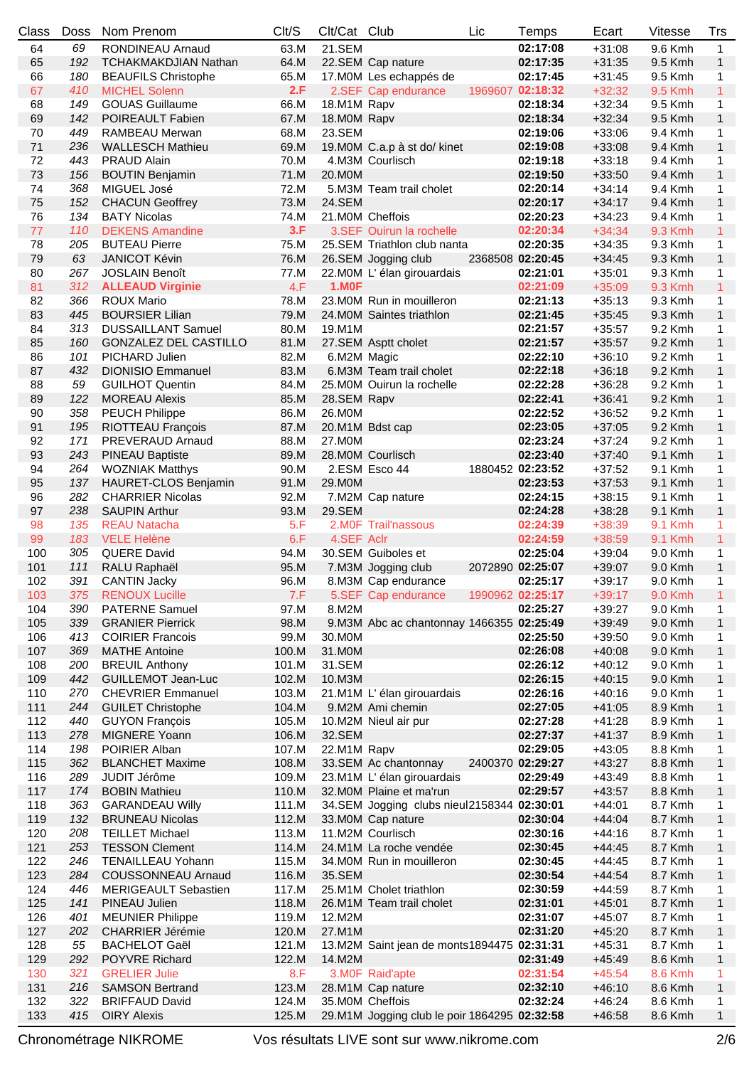| Class | <b>Doss</b> | Nom Prenom                                          | Clt/S | Clt/Cat Club  |                                              | Lic | Temps            | Ecart                | Vitesse | Trs               |
|-------|-------------|-----------------------------------------------------|-------|---------------|----------------------------------------------|-----|------------------|----------------------|---------|-------------------|
| 64    | 69          | RONDINEAU Arnaud                                    | 63.M  | 21.SEM        |                                              |     | 02:17:08         | $+31:08$             | 9.6 Kmh | $\mathbf{1}$      |
| 65    | 192         | <b>TCHAKMAKDJIAN Nathan</b>                         | 64.M  |               | 22.SEM Cap nature                            |     | 02:17:35         | $+31:35$             | 9.5 Kmh | $\mathbf{1}$      |
| 66    | 180         | <b>BEAUFILS Christophe</b>                          | 65.M  |               | 17. MOM Les echappés de                      |     | 02:17:45         | $+31:45$             | 9.5 Kmh | 1                 |
| 67    | 410         | <b>MICHEL Solenn</b>                                | 2.F   |               | 2.SEF Cap endurance                          |     | 1969607 02:18:32 | $+32:32$             | 9.5 Kmh | $\mathbf{1}$      |
| 68    | 149         | <b>GOUAS Guillaume</b>                              | 66.M  | 18.M1M Rapv   |                                              |     | 02:18:34         | $+32:34$             | 9.5 Kmh | 1                 |
| 69    | 142         | POIREAULT Fabien                                    | 67.M  | 18.MOM Rapv   |                                              |     | 02:18:34         | $+32:34$             | 9.5 Kmh | $\mathbf{1}$      |
| 70    | 449         | RAMBEAU Merwan                                      | 68.M  | 23.SEM        |                                              |     | 02:19:06         | $+33:06$             | 9.4 Kmh | 1                 |
| 71    | 236         | <b>WALLESCH Mathieu</b>                             | 69.M  |               | 19.M0M C.a.p à st do/ kinet                  |     | 02:19:08         | $+33:08$             | 9.4 Kmh | $\mathbf{1}$      |
| 72    | 443         | <b>PRAUD Alain</b>                                  | 70.M  |               | 4.M3M Courlisch                              |     | 02:19:18         | $+33:18$             | 9.4 Kmh | 1                 |
| 73    | 156         | <b>BOUTIN Benjamin</b>                              | 71.M  | 20.M0M        |                                              |     | 02:19:50         | $+33:50$             | 9.4 Kmh | $\mathbf{1}$      |
| 74    | 368         | MIGUEL José                                         | 72.M  |               | 5.M3M Team trail cholet                      |     | 02:20:14         | $+34:14$             | 9.4 Kmh | 1                 |
| 75    | 152         | <b>CHACUN Geoffrey</b>                              | 73.M  | <b>24.SEM</b> |                                              |     | 02:20:17         | $+34:17$             | 9.4 Kmh | $\mathbf{1}$      |
| 76    | 134         | <b>BATY Nicolas</b>                                 | 74.M  |               | 21.M0M Cheffois                              |     | 02:20:23         | $+34:23$             | 9.4 Kmh | 1                 |
| 77    | 110         | <b>DEKENS Amandine</b>                              | 3.F   |               | 3.SEF Ouirun la rochelle                     |     | 02:20:34         | $+34:34$             | 9.3 Kmh | $\mathbf{1}$      |
| 78    | 205         | <b>BUTEAU Pierre</b>                                | 75.M  |               | 25.SEM Triathlon club nanta                  |     | 02:20:35         | $+34:35$             | 9.3 Kmh | 1                 |
| 79    | 63          | <b>JANICOT Kévin</b>                                | 76.M  |               | 26.SEM Jogging club                          |     | 2368508 02:20:45 | $+34:45$             | 9.3 Kmh | $\mathbf{1}$      |
| 80    | 267         | <b>JOSLAIN Benoît</b>                               | 77.M  |               | 22.M0M L'élan girouardais                    |     | 02:21:01         | $+35:01$             | 9.3 Kmh | 1                 |
| 81    | 312         | <b>ALLEAUD Virginie</b>                             | 4.F   | <b>1.M0F</b>  |                                              |     | 02:21:09         | $+35:09$             | 9.3 Kmh | 1                 |
| 82    | 366         | <b>ROUX Mario</b>                                   | 78.M  |               | 23.M0M Run in mouilleron                     |     |                  |                      |         |                   |
| 83    | 445         |                                                     | 79.M  |               | 24.M0M Saintes triathlon                     |     | 02:21:13         | $+35:13$<br>$+35:45$ | 9.3 Kmh | 1<br>$\mathbf{1}$ |
| 84    | 313         | <b>BOURSIER Lilian</b><br><b>DUSSAILLANT Samuel</b> | 80.M  |               |                                              |     | 02:21:45         |                      | 9.3 Kmh |                   |
|       |             |                                                     |       | 19.M1M        |                                              |     | 02:21:57         | $+35:57$             | 9.2 Kmh | 1                 |
| 85    | 160         | GONZALEZ DEL CASTILLO                               | 81.M  |               | 27.SEM Asptt cholet                          |     | 02:21:57         | $+35:57$             | 9.2 Kmh | $\mathbf{1}$      |
| 86    | 101         | PICHARD Julien                                      | 82.M  | 6.M2M Magic   |                                              |     | 02:22:10         | $+36:10$             | 9.2 Kmh | 1                 |
| 87    | 432         | <b>DIONISIO Emmanuel</b>                            | 83.M  |               | 6.M3M Team trail cholet                      |     | 02:22:18         | $+36:18$             | 9.2 Kmh | $\mathbf{1}$      |
| 88    | 59          | <b>GUILHOT Quentin</b>                              | 84.M  |               | 25.M0M Ouirun la rochelle                    |     | 02:22:28         | $+36:28$             | 9.2 Kmh | 1                 |
| 89    | 122         | <b>MOREAU Alexis</b>                                | 85.M  | 28.SEM Rapv   |                                              |     | 02:22:41         | $+36:41$             | 9.2 Kmh | $\mathbf{1}$      |
| 90    | 358         | <b>PEUCH Philippe</b>                               | 86.M  | 26.M0M        |                                              |     | 02:22:52         | $+36:52$             | 9.2 Kmh | 1                 |
| 91    | 195         | RIOTTEAU François                                   | 87.M  |               | 20.M1M Bdst cap                              |     | 02:23:05         | $+37:05$             | 9.2 Kmh | $\mathbf{1}$      |
| 92    | 171         | PREVERAUD Arnaud                                    | 88.M  | 27.M0M        |                                              |     | 02:23:24         | $+37:24$             | 9.2 Kmh | 1                 |
| 93    | 243         | <b>PINEAU Baptiste</b>                              | 89.M  |               | 28.M0M Courlisch                             |     | 02:23:40         | $+37:40$             | 9.1 Kmh | $\mathbf{1}$      |
| 94    | 264         | <b>WOZNIAK Matthys</b>                              | 90.M  |               | 2.ESM Esco 44                                |     | 1880452 02:23:52 | $+37:52$             | 9.1 Kmh | 1                 |
| 95    | 137         | HAURET-CLOS Benjamin                                | 91.M  | 29.M0M        |                                              |     | 02:23:53         | $+37:53$             | 9.1 Kmh | $\mathbf{1}$      |
| 96    | 282         | <b>CHARRIER Nicolas</b>                             | 92.M  |               | 7.M2M Cap nature                             |     | 02:24:15         | $+38:15$             | 9.1 Kmh | 1                 |
| 97    | 238         | <b>SAUPIN Arthur</b>                                | 93.M  | 29.SEM        |                                              |     | 02:24:28         | $+38:28$             | 9.1 Kmh | $\mathbf{1}$      |
| 98    | 135         | <b>REAU Natacha</b>                                 | 5.F   |               | 2.M0F Trail'nassous                          |     | 02:24:39         | $+38:39$             | 9.1 Kmh | 1                 |
| 99    | 183         | <b>VELE Helène</b>                                  | 6.F   | 4.SEF Aclr    |                                              |     | 02:24:59         | $+38:59$             | 9.1 Kmh | $\mathbf{1}$      |
| 100   | 305         | <b>QUERE David</b>                                  | 94.M  |               | 30.SEM Guiboles et                           |     | 02:25:04         | $+39:04$             | 9.0 Kmh | 1                 |
| 101   | 111         | RALU Raphaël                                        | 95.M  |               | 7.M3M Jogging club                           |     | 2072890 02:25:07 | $+39:07$             | 9.0 Kmh | $\mathbf{1}$      |
| 102   | 391         | <b>CANTIN Jacky</b>                                 | 96.M  |               | 8.M3M Cap endurance                          |     | 02:25:17         | $+39:17$             | 9.0 Kmh | 1                 |
| 103   |             | 375 RENOUX Lucille                                  |       |               | 7.F 5.SEF Cap endurance 1990962 02:25:17     |     |                  | $+39:17$             | 9.0 Kmh | $\mathbf{1}$      |
| 104   | 390         | <b>PATERNE Samuel</b>                               | 97.M  | 8.M2M         |                                              |     | 02:25:27         | $+39:27$             | 9.0 Kmh | 1                 |
| 105   | 339         | <b>GRANIER Pierrick</b>                             | 98.M  |               | 9. M3M Abc ac chantonnay 1466355 02:25:49    |     |                  | $+39:49$             | 9.0 Kmh | 1                 |
| 106   | 413         | <b>COIRIER Francois</b>                             | 99.M  | 30.M0M        |                                              |     | 02:25:50         | $+39:50$             | 9.0 Kmh | 1                 |
| 107   | 369         | <b>MATHE Antoine</b>                                | 100.M | 31.M0M        |                                              |     | 02:26:08         | $+40:08$             | 9.0 Kmh | $\mathbf{1}$      |
| 108   | 200         | <b>BREUIL Anthony</b>                               | 101.M | 31.SEM        |                                              |     | 02:26:12         | $+40:12$             | 9.0 Kmh | 1                 |
| 109   | 442         | <b>GUILLEMOT Jean-Luc</b>                           | 102.M | 10.M3M        |                                              |     | 02:26:15         | $+40:15$             | 9.0 Kmh | $\mathbf{1}$      |
| 110   | 270         | <b>CHEVRIER Emmanuel</b>                            | 103.M |               | 21.M1M L'élan girouardais                    |     | 02:26:16         | $+40:16$             | 9.0 Kmh | 1                 |
| 111   | 244         | <b>GUILET Christophe</b>                            | 104.M |               | 9.M2M Ami chemin                             |     | 02:27:05         | $+41:05$             | 8.9 Kmh | $\mathbf{1}$      |
| 112   | 440         | <b>GUYON François</b>                               | 105.M |               | 10.M2M Nieul air pur                         |     | 02:27:28         | $+41:28$             | 8.9 Kmh | 1                 |
| 113   | 278         | MIGNERE Yoann                                       | 106.M | 32.SEM        |                                              |     | 02:27:37         | $+41:37$             | 8.9 Kmh | $\mathbf{1}$      |
| 114   | 198         | POIRIER Alban                                       | 107.M | 22.M1M Rapv   |                                              |     | 02:29:05         | $+43:05$             | 8.8 Kmh | 1                 |
| 115   | 362         | <b>BLANCHET Maxime</b>                              | 108.M |               | 33.SEM Ac chantonnay                         |     | 2400370 02:29:27 | $+43:27$             | 8.8 Kmh | $\mathbf{1}$      |
| 116   | 289         | JUDIT Jérôme                                        | 109.M |               | 23.M1M L'élan girouardais                    |     | 02:29:49         | $+43:49$             | 8.8 Kmh | 1                 |
| 117   | 174         | <b>BOBIN Mathieu</b>                                | 110.M |               | 32.M0M Plaine et ma'run                      |     | 02:29:57         | $+43:57$             | 8.8 Kmh | $\mathbf{1}$      |
| 118   | 363         |                                                     |       |               | 34.SEM Jogging clubs nieul2158344 02:30:01   |     |                  | $+44:01$             |         |                   |
| 119   | 132         | <b>GARANDEAU Willy</b>                              | 111.M |               |                                              |     |                  | $+44:04$             | 8.7 Kmh | 1                 |
|       |             | <b>BRUNEAU Nicolas</b>                              | 112.M |               | 33.M0M Cap nature                            |     | 02:30:04         |                      | 8.7 Kmh | $\mathbf{1}$      |
| 120   | 208         | <b>TEILLET Michael</b>                              | 113.M |               | 11.M2M Courlisch                             |     | 02:30:16         | $+44:16$             | 8.7 Kmh | 1                 |
| 121   | 253         | <b>TESSON Clement</b>                               | 114.M |               | 24.M1M La roche vendée                       |     | 02:30:45         | $+44:45$             | 8.7 Kmh | $\mathbf{1}$      |
| 122   | 246         | <b>TENAILLEAU Yohann</b>                            | 115.M |               | 34.M0M Run in mouilleron                     |     | 02:30:45         | $+44:45$             | 8.7 Kmh | 1                 |
| 123   | 284         | <b>COUSSONNEAU Arnaud</b>                           | 116.M | 35.SEM        |                                              |     | 02:30:54         | $+44:54$             | 8.7 Kmh | $\mathbf{1}$      |
| 124   | 446         | <b>MERIGEAULT Sebastien</b>                         | 117.M |               | 25.M1M Cholet triathlon                      |     | 02:30:59         | $+44:59$             | 8.7 Kmh | 1                 |
| 125   | 141         | PINEAU Julien                                       | 118.M |               | 26.M1M Team trail cholet                     |     | 02:31:01         | $+45:01$             | 8.7 Kmh | $\mathbf{1}$      |
| 126   | 401         | <b>MEUNIER Philippe</b>                             | 119.M | 12.M2M        |                                              |     | 02:31:07         | $+45:07$             | 8.7 Kmh | 1                 |
| 127   | 202         | <b>CHARRIER Jérémie</b>                             | 120.M | 27.M1M        |                                              |     | 02:31:20         | $+45:20$             | 8.7 Kmh | $\mathbf{1}$      |
| 128   | 55          | <b>BACHELOT Gaël</b>                                | 121.M |               | 13.M2M Saint jean de monts1894475 02:31:31   |     |                  | $+45:31$             | 8.7 Kmh | 1                 |
| 129   | 292         | <b>POYVRE Richard</b>                               | 122.M | 14.M2M        |                                              |     | 02:31:49         | $+45:49$             | 8.6 Kmh | $\mathbf{1}$      |
| 130   | 321         | <b>GRELIER Julie</b>                                | 8.F   |               | 3.M0F Raid'apte                              |     | 02:31:54         | $+45:54$             | 8.6 Kmh | 1                 |
| 131   | 216         | <b>SAMSON Bertrand</b>                              | 123.M |               | 28.M1M Cap nature                            |     | 02:32:10         | $+46:10$             | 8.6 Kmh | $\mathbf{1}$      |
| 132   | 322         | <b>BRIFFAUD David</b>                               | 124.M |               | 35.M0M Cheffois                              |     | 02:32:24         | $+46:24$             | 8.6 Kmh | 1                 |
| 133   | 415         | <b>OIRY Alexis</b>                                  | 125.M |               | 29.M1M Jogging club le poir 1864295 02:32:58 |     |                  | $+46:58$             | 8.6 Kmh | $\mathbf{1}$      |

Chronométrage NIKROME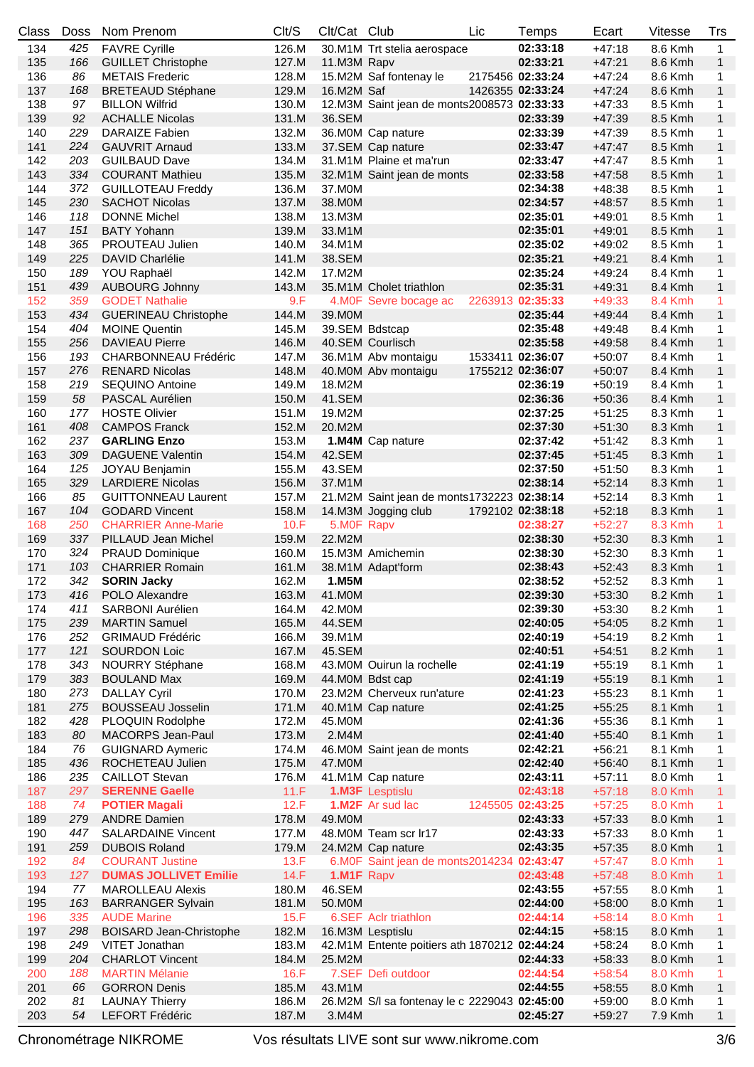| Class | <b>Doss</b> | Nom Prenom                     | Clt/S | Clt/Cat Club |                                               | Lic | Temps            | Ecart    | Vitesse | Trs          |
|-------|-------------|--------------------------------|-------|--------------|-----------------------------------------------|-----|------------------|----------|---------|--------------|
| 134   | 425         | <b>FAVRE Cyrille</b>           | 126.M |              | 30.M1M Trt stelia aerospace                   |     | 02:33:18         | $+47:18$ | 8.6 Kmh | $\mathbf{1}$ |
| 135   | 166         | <b>GUILLET Christophe</b>      | 127.M | 11.M3M Rapv  |                                               |     | 02:33:21         | $+47:21$ | 8.6 Kmh | $\mathbf{1}$ |
| 136   | 86          | <b>METAIS Frederic</b>         | 128.M |              | 15.M2M Saf fontenay le                        |     | 2175456 02:33:24 | $+47:24$ | 8.6 Kmh | 1            |
| 137   | 168         | <b>BRETEAUD Stéphane</b>       | 129.M | 16.M2M Saf   |                                               |     | 1426355 02:33:24 | $+47:24$ | 8.6 Kmh | $\mathbf{1}$ |
| 138   | 97          | <b>BILLON Wilfrid</b>          | 130.M |              | 12.M3M Saint jean de monts2008573 02:33:33    |     |                  | $+47:33$ | 8.5 Kmh | 1            |
| 139   | 92          | <b>ACHALLE Nicolas</b>         | 131.M | 36.SEM       |                                               |     | 02:33:39         | $+47:39$ | 8.5 Kmh | $\mathbf{1}$ |
| 140   | 229         | <b>DARAIZE Fabien</b>          | 132.M |              | 36.M0M Cap nature                             |     | 02:33:39         | $+47:39$ | 8.5 Kmh | 1            |
| 141   | 224         | <b>GAUVRIT Arnaud</b>          | 133.M |              | 37.SEM Cap nature                             |     | 02:33:47         | $+47:47$ |         | $\mathbf{1}$ |
|       |             |                                |       |              |                                               |     |                  |          | 8.5 Kmh |              |
| 142   | 203         | <b>GUILBAUD Dave</b>           | 134.M |              | 31.M1M Plaine et ma'run                       |     | 02:33:47         | $+47:47$ | 8.5 Kmh | 1            |
| 143   | 334         | <b>COURANT Mathieu</b>         | 135.M |              | 32.M1M Saint jean de monts                    |     | 02:33:58         | $+47:58$ | 8.5 Kmh | $\mathbf{1}$ |
| 144   | 372         | <b>GUILLOTEAU Freddy</b>       | 136.M | 37.M0M       |                                               |     | 02:34:38         | $+48:38$ | 8.5 Kmh | 1            |
| 145   | 230         | <b>SACHOT Nicolas</b>          | 137.M | 38.M0M       |                                               |     | 02:34:57         | $+48:57$ | 8.5 Kmh | $\mathbf{1}$ |
| 146   | 118         | <b>DONNE Michel</b>            | 138.M | 13.M3M       |                                               |     | 02:35:01         | $+49:01$ | 8.5 Kmh | 1            |
| 147   | 151         | <b>BATY Yohann</b>             | 139.M | 33.M1M       |                                               |     | 02:35:01         | $+49:01$ | 8.5 Kmh | $\mathbf{1}$ |
| 148   | 365         | <b>PROUTEAU Julien</b>         | 140.M | 34.M1M       |                                               |     | 02:35:02         | $+49:02$ | 8.5 Kmh | 1            |
| 149   | 225         | <b>DAVID Charlélie</b>         | 141.M | 38.SEM       |                                               |     | 02:35:21         | $+49:21$ | 8.4 Kmh | $\mathbf{1}$ |
| 150   | 189         | YOU Raphaël                    | 142.M | 17.M2M       |                                               |     | 02:35:24         | $+49:24$ | 8.4 Kmh | 1            |
| 151   | 439         | <b>AUBOURG Johnny</b>          | 143.M |              | 35.M1M Cholet triathlon                       |     | 02:35:31         | $+49:31$ | 8.4 Kmh | $\mathbf{1}$ |
| 152   | 359         | <b>GODET Nathalie</b>          | 9.F   |              | 4.M0F Sevre bocage ac                         |     | 2263913 02:35:33 | $+49:33$ | 8.4 Kmh | 1            |
| 153   | 434         | <b>GUERINEAU Christophe</b>    | 144.M | 39.M0M       |                                               |     | 02:35:44         | $+49:44$ | 8.4 Kmh | $\mathbf{1}$ |
| 154   | 404         | <b>MOINE Quentin</b>           | 145.M |              | 39.SEM Bdstcap                                |     | 02:35:48         | $+49:48$ | 8.4 Kmh | 1            |
| 155   | 256         | <b>DAVIEAU Pierre</b>          | 146.M |              | 40.SEM Courlisch                              |     | 02:35:58         | $+49:58$ | 8.4 Kmh | $\mathbf{1}$ |
| 156   | 193         | <b>CHARBONNEAU Frédéric</b>    | 147.M |              | 36.M1M Abv montaigu                           |     | 1533411 02:36:07 | $+50:07$ | 8.4 Kmh | 1            |
| 157   | 276         | <b>RENARD Nicolas</b>          | 148.M |              | 40.M0M Abv montaigu                           |     | 1755212 02:36:07 | $+50:07$ | 8.4 Kmh | $\mathbf{1}$ |
| 158   | 219         | <b>SEQUINO Antoine</b>         | 149.M | 18.M2M       |                                               |     | 02:36:19         | $+50:19$ | 8.4 Kmh | 1            |
| 159   | 58          | PASCAL Aurélien                | 150.M | 41.SEM       |                                               |     | 02:36:36         | $+50:36$ | 8.4 Kmh | $\mathbf{1}$ |
| 160   | 177         | <b>HOSTE Olivier</b>           | 151.M | 19.M2M       |                                               |     | 02:37:25         | $+51:25$ | 8.3 Kmh | 1            |
| 161   | 408         | <b>CAMPOS Franck</b>           | 152.M | 20.M2M       |                                               |     | 02:37:30         | $+51:30$ | 8.3 Kmh | $\mathbf{1}$ |
| 162   | 237         | <b>GARLING Enzo</b>            | 153.M |              | 1.M4M Cap nature                              |     | 02:37:42         | $+51:42$ | 8.3 Kmh | 1            |
| 163   | 309         | <b>DAGUENE Valentin</b>        | 154.M | 42.SEM       |                                               |     | 02:37:45         | $+51:45$ | 8.3 Kmh | $\mathbf{1}$ |
| 164   | 125         | <b>JOYAU Benjamin</b>          | 155.M | 43.SEM       |                                               |     | 02:37:50         | $+51:50$ | 8.3 Kmh | 1            |
| 165   | 329         | <b>LARDIERE Nicolas</b>        | 156.M | 37.M1M       |                                               |     | 02:38:14         | $+52:14$ | 8.3 Kmh | $\mathbf{1}$ |
| 166   | 85          | <b>GUITTONNEAU Laurent</b>     | 157.M |              |                                               |     |                  | $+52:14$ |         |              |
|       |             |                                |       |              | 21.M2M Saint jean de monts1732223 02:38:14    |     |                  |          | 8.3 Kmh | 1            |
| 167   | 104         | <b>GODARD Vincent</b>          | 158.M |              | 14.M3M Jogging club                           |     | 1792102 02:38:18 | $+52:18$ | 8.3 Kmh | $\mathbf{1}$ |
| 168   | 250         | <b>CHARRIER Anne-Marie</b>     | 10.F  | 5.M0F Rapv   |                                               |     | 02:38:27         | $+52:27$ | 8.3 Kmh | 1            |
| 169   | 337         | PILLAUD Jean Michel            | 159.M | 22.M2M       |                                               |     | 02:38:30         | $+52:30$ | 8.3 Kmh | $\mathbf{1}$ |
| 170   | 324         | <b>PRAUD Dominique</b>         | 160.M |              | 15.M3M Amichemin                              |     | 02:38:30         | $+52:30$ | 8.3 Kmh | 1            |
| 171   | 103         | <b>CHARRIER Romain</b>         | 161.M |              | 38.M1M Adapt'form                             |     | 02:38:43         | $+52:43$ | 8.3 Kmh | $\mathbf{1}$ |
| 172   | 342         | <b>SORIN Jacky</b>             | 162.M | 1.M5M        |                                               |     | 02:38:52         | $+52:52$ | 8.3 Kmh | 1            |
| 173   |             | 416 POLO Alexandre             | 163.M | 41.M0M       |                                               |     | 02:39:30         | $+53:30$ | 8.2 Kmh | $\mathbf{1}$ |
| 174   | 411         | SARBONI Aurélien               | 164.M | 42.M0M       |                                               |     | 02:39:30         | $+53:30$ | 8.2 Kmh | 1            |
| 175   | 239         | <b>MARTIN Samuel</b>           | 165.M | 44.SEM       |                                               |     | 02:40:05         | $+54:05$ | 8.2 Kmh | $\mathbf{1}$ |
| 176   | 252         | <b>GRIMAUD Frédéric</b>        | 166.M | 39.M1M       |                                               |     | 02:40:19         | $+54:19$ | 8.2 Kmh | 1            |
| 177   | 121         | <b>SOURDON Loic</b>            | 167.M | 45.SEM       |                                               |     | 02:40:51         | $+54:51$ | 8.2 Kmh | $\mathbf{1}$ |
| 178   | 343         | <b>NOURRY Stéphane</b>         | 168.M |              | 43.M0M Ouirun la rochelle                     |     | 02:41:19         | $+55:19$ | 8.1 Kmh | 1            |
| 179   | 383         | <b>BOULAND Max</b>             | 169.M |              | 44.MOM Bdst cap                               |     | 02:41:19         | $+55:19$ | 8.1 Kmh | $\mathbf{1}$ |
| 180   | 273         | <b>DALLAY Cyril</b>            | 170.M |              | 23.M2M Cherveux run'ature                     |     | 02:41:23         | $+55:23$ | 8.1 Kmh | 1            |
| 181   | 275         | <b>BOUSSEAU Josselin</b>       | 171.M |              | 40.M1M Cap nature                             |     | 02:41:25         | $+55:25$ | 8.1 Kmh | $\mathbf{1}$ |
| 182   | 428         | PLOQUIN Rodolphe               | 172.M | 45.M0M       |                                               |     | 02:41:36         | $+55:36$ | 8.1 Kmh | 1            |
| 183   | 80          | <b>MACORPS Jean-Paul</b>       | 173.M | 2.M4M        |                                               |     | 02:41:40         | $+55:40$ | 8.1 Kmh | $\mathbf{1}$ |
| 184   | 76          | <b>GUIGNARD Aymeric</b>        | 174.M |              | 46.M0M Saint jean de monts                    |     | 02:42:21         | $+56:21$ | 8.1 Kmh | 1            |
| 185   | 436         | ROCHETEAU Julien               | 175.M | 47.M0M       |                                               |     | 02:42:40         | $+56:40$ | 8.1 Kmh | $\mathbf{1}$ |
| 186   | 235         | <b>CAILLOT Stevan</b>          | 176.M |              | 41.M1M Cap nature                             |     | 02:43:11         | $+57:11$ | 8.0 Kmh | 1            |
| 187   | 297         | <b>SERENNE Gaelle</b>          | 11.F  |              | 1.M3F Lesptislu                               |     | 02:43:18         | $+57:18$ | 8.0 Kmh | $\mathbf{1}$ |
| 188   | 74          | <b>POTIER Magali</b>           | 12.F  |              | <b>1.M2F</b> Ar sud lac                       |     | 1245505 02:43:25 | $+57:25$ | 8.0 Kmh | 1            |
| 189   | 279         | <b>ANDRE Damien</b>            | 178.M | 49.M0M       |                                               |     | 02:43:33         | $+57:33$ | 8.0 Kmh | $\mathbf{1}$ |
| 190   | 447         | <b>SALARDAINE Vincent</b>      | 177.M |              | 48.M0M Team scr lr17                          |     | 02:43:33         | $+57:33$ | 8.0 Kmh | 1            |
| 191   | 259         | <b>DUBOIS Roland</b>           | 179.M |              | 24.M2M Cap nature                             |     | 02:43:35         | $+57:35$ | 8.0 Kmh | $\mathbf{1}$ |
| 192   | 84          | <b>COURANT Justine</b>         | 13.F  |              | 6.M0F Saint jean de monts2014234 02:43:47     |     |                  | $+57:47$ | 8.0 Kmh | 1            |
| 193   | 127         | <b>DUMAS JOLLIVET Emilie</b>   | 14.F  | 1.M1F Rapv   |                                               |     | 02:43:48         | $+57:48$ | 8.0 Kmh | $\mathbf{1}$ |
| 194   | 77          | <b>MAROLLEAU Alexis</b>        | 180.M | 46.SEM       |                                               |     | 02:43:55         | $+57:55$ | 8.0 Kmh | 1            |
| 195   | 163         | <b>BARRANGER Sylvain</b>       | 181.M | 50.M0M       |                                               |     | 02:44:00         | $+58:00$ | 8.0 Kmh | $\mathbf{1}$ |
| 196   | 335         | <b>AUDE Marine</b>             | 15.F  |              | 6.SEF Aclr triathlon                          |     | 02:44:14         | $+58:14$ | 8.0 Kmh | 1            |
| 197   | 298         | <b>BOISARD Jean-Christophe</b> | 182.M |              | 16.M3M Lesptislu                              |     | 02:44:15         | $+58:15$ | 8.0 Kmh | $\mathbf{1}$ |
| 198   | 249         | VITET Jonathan                 | 183.M |              | 42.M1M Entente poitiers ath 1870212 02:44:24  |     |                  | $+58:24$ | 8.0 Kmh | 1            |
| 199   | 204         | <b>CHARLOT Vincent</b>         | 184.M | 25.M2M       |                                               |     | 02:44:33         | $+58:33$ | 8.0 Kmh | $\mathbf{1}$ |
| 200   | 188         | <b>MARTIN Mélanie</b>          | 16.F  |              | 7.SEF Defi outdoor                            |     | 02:44:54         | $+58:54$ | 8.0 Kmh | 1            |
| 201   | 66          | <b>GORRON Denis</b>            | 185.M | 43.M1M       |                                               |     | 02:44:55         | $+58:55$ | 8.0 Kmh | $\mathbf{1}$ |
| 202   | 81          | <b>LAUNAY Thierry</b>          | 186.M |              | 26. M2M S/l sa fontenay le c 2229043 02:45:00 |     |                  | $+59:00$ | 8.0 Kmh | 1            |
| 203   | 54          | LEFORT Frédéric                | 187.M | 3.M4M        |                                               |     | 02:45:27         | $+59:27$ | 7.9 Kmh | $\mathbf{1}$ |
|       |             |                                |       |              |                                               |     |                  |          |         |              |

Chronométrage NIKROME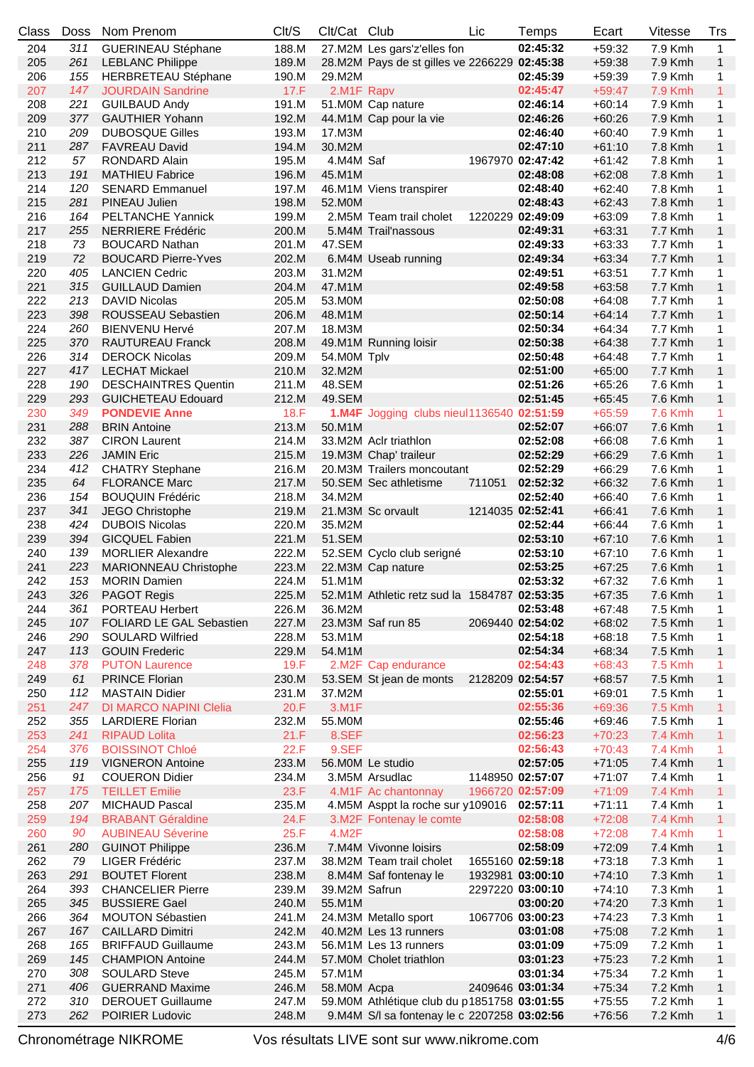| Class | <b>Doss</b> | Nom Prenom                    | Clt/S       | Clt/Cat Club  |                                              | Lic    | Temps            | Ecart    | Vitesse        | Trs          |
|-------|-------------|-------------------------------|-------------|---------------|----------------------------------------------|--------|------------------|----------|----------------|--------------|
| 204   | 311         | <b>GUERINEAU Stéphane</b>     | 188.M       |               | 27.M2M Les gars'z'elles fon                  |        | 02:45:32         | $+59:32$ | 7.9 Kmh        | $\mathbf{1}$ |
| 205   | 261         | <b>LEBLANC Philippe</b>       | 189.M       |               | 28.M2M Pays de st gilles ve 2266229 02:45:38 |        |                  | $+59:38$ | 7.9 Kmh        | $\mathbf{1}$ |
| 206   | 155         | <b>HERBRETEAU Stéphane</b>    | 190.M       | 29.M2M        |                                              |        | 02:45:39         | $+59:39$ | 7.9 Kmh        | 1            |
| 207   | 147         | <b>JOURDAIN Sandrine</b>      | 17.F        | 2.M1F Rapv    |                                              |        | 02:45:47         | $+59:47$ | 7.9 Kmh        | $\mathbf{1}$ |
| 208   | 221         | <b>GUILBAUD Andy</b>          | 191.M       |               | 51.M0M Cap nature                            |        | 02:46:14         | $+60:14$ | 7.9 Kmh        | 1            |
| 209   | 377         | <b>GAUTHIER Yohann</b>        | 192.M       |               | 44.M1M Cap pour la vie                       |        | 02:46:26         | $+60:26$ | 7.9 Kmh        | $\mathbf{1}$ |
| 210   | 209         | <b>DUBOSQUE Gilles</b>        | 193.M       | 17.M3M        |                                              |        | 02:46:40         | $+60:40$ | 7.9 Kmh        | 1            |
|       | 287         |                               |             |               |                                              |        |                  |          |                |              |
| 211   |             | <b>FAVREAU David</b>          | 194.M       | 30.M2M        |                                              |        | 02:47:10         | $+61:10$ | 7.8 Kmh        | $\mathbf{1}$ |
| 212   | 57          | RONDARD Alain                 | 195.M       | 4.M4M Saf     |                                              |        | 1967970 02:47:42 | $+61:42$ | 7.8 Kmh        | 1            |
| 213   | 191         | <b>MATHIEU Fabrice</b>        | 196.M       | 45.M1M        |                                              |        | 02:48:08         | $+62:08$ | 7.8 Kmh        | 1            |
| 214   | 120         | <b>SENARD Emmanuel</b>        | 197.M       |               | 46.M1M Viens transpirer                      |        | 02:48:40         | $+62:40$ | 7.8 Kmh        | 1            |
| 215   | 281         | PINEAU Julien                 | 198.M       | 52.M0M        |                                              |        | 02:48:43         | $+62:43$ | 7.8 Kmh        | 1            |
| 216   | 164         | <b>PELTANCHE Yannick</b>      | 199.M       |               | 2.M5M Team trail cholet                      |        | 1220229 02:49:09 | $+63:09$ | 7.8 Kmh        | 1            |
| 217   | 255         | <b>NERRIERE Frédéric</b>      | 200.M       |               | 5.M4M Trail'nassous                          |        | 02:49:31         | $+63:31$ | 7.7 Kmh        | $\mathbf{1}$ |
| 218   | 73          | <b>BOUCARD Nathan</b>         | 201.M       | 47.SEM        |                                              |        | 02:49:33         | $+63:33$ | 7.7 Kmh        | 1            |
| 219   | 72          | <b>BOUCARD Pierre-Yves</b>    | 202.M       |               | 6.M4M Useab running                          |        | 02:49:34         | $+63:34$ | 7.7 Kmh        | $\mathbf{1}$ |
| 220   | 405         | <b>LANCIEN Cedric</b>         | 203.M       | 31.M2M        |                                              |        | 02:49:51         | $+63:51$ | 7.7 Kmh        | 1            |
| 221   | 315         | <b>GUILLAUD Damien</b>        | 204.M       | 47.M1M        |                                              |        | 02:49:58         | $+63:58$ | 7.7 Kmh        | $\mathbf{1}$ |
| 222   | 213         | <b>DAVID Nicolas</b>          | 205.M       | 53.M0M        |                                              |        | 02:50:08         | $+64:08$ | 7.7 Kmh        | 1            |
| 223   | 398         | ROUSSEAU Sebastien            | 206.M       | 48.M1M        |                                              |        | 02:50:14         | $+64:14$ | 7.7 Kmh        | $\mathbf{1}$ |
|       |             |                               |             |               |                                              |        |                  |          |                |              |
| 224   | 260         | <b>BIENVENU Hervé</b>         | 207.M       | 18.M3M        |                                              |        | 02:50:34         | $+64:34$ | 7.7 Kmh        | 1            |
| 225   | 370         | <b>RAUTUREAU Franck</b>       | 208.M       |               | 49.M1M Running loisir                        |        | 02:50:38         | $+64:38$ | 7.7 Kmh        | 1            |
| 226   | 314         | <b>DEROCK Nicolas</b>         | 209.M       | 54.MOM Tplv   |                                              |        | 02:50:48         | $+64:48$ | 7.7 Kmh        | 1            |
| 227   | 417         | <b>LECHAT Mickael</b>         | 210.M       | 32.M2M        |                                              |        | 02:51:00         | $+65:00$ | 7.7 Kmh        | 1            |
| 228   | 190         | <b>DESCHAINTRES Quentin</b>   | 211.M       | 48.SEM        |                                              |        | 02:51:26         | $+65:26$ | 7.6 Kmh        | 1            |
| 229   | 293         | <b>GUICHETEAU Edouard</b>     | 212.M       | 49.SEM        |                                              |        | 02:51:45         | $+65:45$ | 7.6 Kmh        | $\mathbf{1}$ |
| 230   | 349         | <b>PONDEVIE Anne</b>          | <b>18.F</b> |               | 1.M4F Jogging clubs nieul1136540 02:51:59    |        |                  | $+65:59$ | 7.6 Kmh        | 1            |
| 231   | 288         | <b>BRIN Antoine</b>           | 213.M       | 50.M1M        |                                              |        | 02:52:07         | $+66:07$ | 7.6 Kmh        | $\mathbf{1}$ |
| 232   | 387         | <b>CIRON Laurent</b>          | 214.M       |               | 33.M2M Aclr triathlon                        |        | 02:52:08         | $+66:08$ | 7.6 Kmh        | 1            |
| 233   | 226         | <b>JAMIN Eric</b>             | 215.M       |               | 19.M3M Chap' traileur                        |        | 02:52:29         | $+66:29$ | 7.6 Kmh        | 1            |
| 234   | 412         | <b>CHATRY Stephane</b>        | 216.M       |               | 20.M3M Trailers moncoutant                   |        | 02:52:29         | $+66:29$ | 7.6 Kmh        | 1            |
| 235   | 64          | <b>FLORANCE Marc</b>          | 217.M       |               | 50.SEM Sec athletisme                        | 711051 | 02:52:32         | $+66:32$ | 7.6 Kmh        | $\mathbf{1}$ |
| 236   | 154         | <b>BOUQUIN Frédéric</b>       | 218.M       | 34.M2M        |                                              |        | 02:52:40         | $+66:40$ | 7.6 Kmh        | 1            |
| 237   | 341         | JEGO Christophe               | 219.M       |               | 21.M3M Sc orvault                            |        | 1214035 02:52:41 | $+66:41$ | 7.6 Kmh        | $\mathbf{1}$ |
|       | 424         |                               |             |               |                                              |        |                  |          |                |              |
| 238   |             | <b>DUBOIS Nicolas</b>         | 220.M       | 35.M2M        |                                              |        | 02:52:44         | $+66:44$ | 7.6 Kmh        | 1            |
| 239   | 394         | <b>GICQUEL Fabien</b>         | 221.M       | 51.SEM        |                                              |        | 02:53:10         | $+67:10$ | 7.6 Kmh        | $\mathbf{1}$ |
| 240   | 139         | <b>MORLIER Alexandre</b>      | 222.M       |               | 52.SEM Cyclo club serigné                    |        | 02:53:10         | $+67:10$ | 7.6 Kmh        | 1            |
| 241   | 223         | <b>MARIONNEAU Christophe</b>  | 223.M       |               | 22.M3M Cap nature                            |        | 02:53:25         | $+67:25$ | 7.6 Kmh        | $\mathbf{1}$ |
| 242   | 153         | <b>MORIN Damien</b>           | 224.M       | 51.M1M        |                                              |        | 02:53:32         | $+67:32$ | 7.6 Kmh        | 1            |
| 243   |             | 326 PAGOT Regis               | 225.M       |               | 52.M1M Athletic retz sud la 1584787 02:53:35 |        |                  | $+67:35$ | 7.6 Kmh        | $\mathbf{1}$ |
| 244   | 361         | PORTEAU Herbert               | 226.M       | 36.M2M        |                                              |        | 02:53:48         | $+67:48$ | 7.5 Kmh        | 1            |
| 245   | 107         | FOLIARD LE GAL Sebastien      | 227.M       |               | 23.M3M Saf run 85                            |        | 2069440 02:54:02 | $+68:02$ | 7.5 Kmh        | $\mathbf{1}$ |
| 246   | 290         | <b>SOULARD Wilfried</b>       | 228.M       | 53.M1M        |                                              |        | 02:54:18         | $+68:18$ | 7.5 Kmh        | 1            |
| 247   | 113         | <b>GOUIN Frederic</b>         | 229.M       | 54.M1M        |                                              |        | 02:54:34         | $+68:34$ | 7.5 Kmh        | $\mathbf{1}$ |
| 248   | 378         | <b>PUTON Laurence</b>         | 19.F        |               | 2.M2F Cap endurance                          |        | 02:54:43         | $+68:43$ | 7.5 Kmh        | 1            |
| 249   | 61          | <b>PRINCE Florian</b>         | 230.M       |               | 53.SEM St jean de monts                      |        | 2128209 02:54:57 | $+68:57$ | 7.5 Kmh        | $\mathbf{1}$ |
| 250   | 112         | <b>MASTAIN Didier</b>         | 231.M       | 37.M2M        |                                              |        | 02:55:01         | $+69:01$ | 7.5 Kmh        | 1            |
| 251   | 247         | <b>DI MARCO NAPINI Clelia</b> | 20.F        | 3.M1F         |                                              |        | 02:55:36         | $+69:36$ | 7.5 Kmh        | $\mathbf{1}$ |
| 252   | 355         | <b>LARDIERE Florian</b>       | 232.M       | 55.M0M        |                                              |        | 02:55:46         | $+69:46$ | 7.5 Kmh        | 1            |
| 253   | 241         | <b>RIPAUD Lolita</b>          | 21.F        | 8.SEF         |                                              |        | 02:56:23         | $+70:23$ | <b>7.4 Kmh</b> | 1            |
|       |             |                               |             |               |                                              |        |                  |          |                |              |
| 254   | 376         | <b>BOISSINOT Chloé</b>        | 22.F        | 9.SEF         |                                              |        | 02:56:43         | $+70:43$ | <b>7.4 Kmh</b> | 1            |
| 255   | 119         | <b>VIGNERON Antoine</b>       | 233.M       |               | 56.M0M Le studio                             |        | 02:57:05         | $+71:05$ | 7.4 Kmh        | $\mathbf{1}$ |
| 256   | 91          | <b>COUERON Didier</b>         | 234.M       |               | 3.M5M Arsudlac                               |        | 1148950 02:57:07 | $+71:07$ | 7.4 Kmh        | 1            |
| 257   | 175         | <b>TEILLET Emilie</b>         | 23.F        |               | 4.M1F Ac chantonnay                          |        | 1966720 02:57:09 | $+71:09$ | <b>7.4 Kmh</b> | 1            |
| 258   | 207         | <b>MICHAUD Pascal</b>         | 235.M       |               | 4.M5M Asppt la roche sur y109016 02:57:11    |        |                  | $+71:11$ | 7.4 Kmh        | 1            |
| 259   | 194         | <b>BRABANT Géraldine</b>      | 24.F        |               | 3.M2F Fontenay le comte                      |        | 02:58:08         | $+72:08$ | <b>7.4 Kmh</b> | 1            |
| 260   | 90          | <b>AUBINEAU Séverine</b>      | 25.F        | 4.M2F         |                                              |        | 02:58:08         | $+72:08$ | <b>7.4 Kmh</b> | 1            |
| 261   | 280         | <b>GUINOT Philippe</b>        | 236.M       |               | 7.M4M Vivonne loisirs                        |        | 02:58:09         | $+72:09$ | 7.4 Kmh        | $\mathbf{1}$ |
| 262   | 79          | LIGER Frédéric                | 237.M       |               | 38.M2M Team trail cholet                     |        | 1655160 02:59:18 | $+73:18$ | 7.3 Kmh        | 1            |
| 263   | 291         | <b>BOUTET Florent</b>         | 238.M       |               | 8.M4M Saf fontenay le                        |        | 1932981 03:00:10 | $+74:10$ | 7.3 Kmh        | $\mathbf{1}$ |
| 264   | 393         | <b>CHANCELIER Pierre</b>      | 239.M       | 39.M2M Safrun |                                              |        | 2297220 03:00:10 | $+74:10$ | 7.3 Kmh        | 1            |
| 265   | 345         | <b>BUSSIERE Gael</b>          | 240.M       | 55.M1M        |                                              |        | 03:00:20         | $+74:20$ | 7.3 Kmh        | $\mathbf{1}$ |
| 266   | 364         | <b>MOUTON Sébastien</b>       | 241.M       |               | 24.M3M Metallo sport                         |        | 1067706 03:00:23 | $+74:23$ | 7.3 Kmh        | 1            |
| 267   | 167         | <b>CAILLARD Dimitri</b>       | 242.M       |               | 40.M2M Les 13 runners                        |        | 03:01:08         | $+75:08$ | 7.2 Kmh        | $\mathbf{1}$ |
|       |             | <b>BRIFFAUD Guillaume</b>     |             |               |                                              |        |                  |          |                |              |
| 268   | 165         |                               | 243.M       |               | 56.M1M Les 13 runners                        |        | 03:01:09         | $+75:09$ | 7.2 Kmh        | 1            |
| 269   | 145         | <b>CHAMPION Antoine</b>       | 244.M       |               | 57.M0M Cholet triathlon                      |        | 03:01:23         | $+75:23$ | 7.2 Kmh        | $\mathbf{1}$ |
| 270   | 308         | <b>SOULARD Steve</b>          | 245.M       | 57.M1M        |                                              |        | 03:01:34         | $+75:34$ | 7.2 Kmh        | 1            |
| 271   | 406         | <b>GUERRAND Maxime</b>        | 246.M       | 58.MOM Acpa   |                                              |        | 2409646 03:01:34 | $+75:34$ | 7.2 Kmh        | $\mathbf{1}$ |
| 272   | 310         | <b>DEROUET Guillaume</b>      | 247.M       |               | 59. M0M Athlétique club du p1851758 03:01:55 |        |                  | $+75:55$ | 7.2 Kmh        | 1            |
| 273   | 262         | POIRIER Ludovic               | 248.M       |               | 9. M4M S/l sa fontenay le c 2207258 03:02:56 |        |                  | $+76:56$ | 7.2 Kmh        | 1            |

Chronométrage NIKROME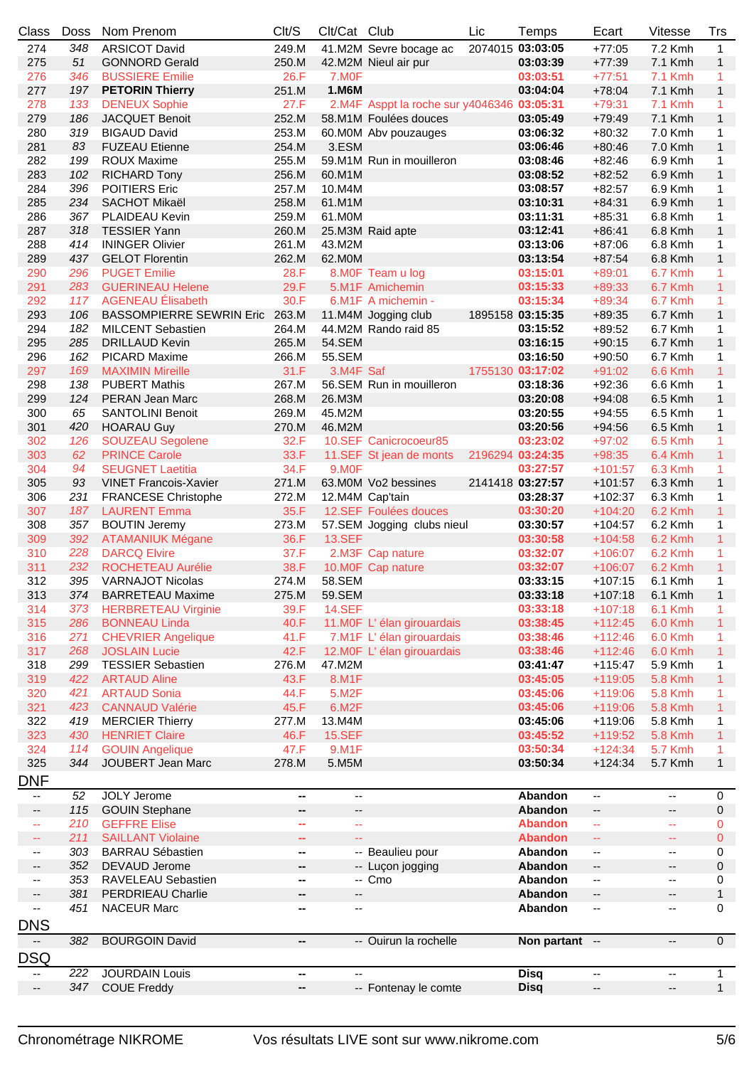| Class                    | <b>Doss</b> | Nom Prenom                     | Clt/S                    | Clt/Cat Club              |                                            | Lic              | Temps            | Ecart                     | <b>Vitesse</b>           | <b>Trs</b>     |
|--------------------------|-------------|--------------------------------|--------------------------|---------------------------|--------------------------------------------|------------------|------------------|---------------------------|--------------------------|----------------|
| 274                      | 348         | <b>ARSICOT David</b>           | 249.M                    |                           | 41.M2M Sevre bocage ac                     |                  | 2074015 03:03:05 | $+77:05$                  | 7.2 Kmh                  | $\mathbf{1}$   |
| 275                      | 51          | <b>GONNORD Gerald</b>          | 250.M                    |                           | 42.M2M Nieul air pur                       |                  | 03:03:39         | $+77:39$                  | 7.1 Kmh                  | $\mathbf{1}$   |
| 276                      | 346         | <b>BUSSIERE Emilie</b>         | 26.F                     | 7.M <sub>OF</sub>         |                                            |                  | 03:03:51         | $+77:51$                  | <b>7.1 Kmh</b>           | 1              |
| 277                      | 197         | <b>PETORIN Thierry</b>         | 251.M                    | 1.M6M                     |                                            |                  | 03:04:04         | $+78:04$                  | 7.1 Kmh                  | $\mathbf{1}$   |
| 278                      | 133         | <b>DENEUX Sophie</b>           | 27.F                     |                           | 2.M4F Asppt la roche sur y4046346 03:05:31 |                  |                  | $+79:31$                  | <b>7.1 Kmh</b>           | 1              |
| 279                      | 186         | <b>JACQUET Benoit</b>          | 252.M                    |                           | 58.M1M Foulées douces                      |                  | 03:05:49         | $+79:49$                  | 7.1 Kmh                  | $\mathbf{1}$   |
| 280                      | 319         | <b>BIGAUD David</b>            | 253.M                    |                           | 60.M0M Abv pouzauges                       |                  | 03:06:32         | $+80:32$                  | 7.0 Kmh                  | 1              |
| 281                      | 83          | <b>FUZEAU Etienne</b>          | 254.M                    | 3.ESM                     |                                            |                  | 03:06:46         | $+80:46$                  | 7.0 Kmh                  | $\mathbf{1}$   |
| 282                      | 199         | ROUX Maxime                    | 255.M                    |                           | 59.M1M Run in mouilleron                   |                  | 03:08:46         | $+82:46$                  | 6.9 Kmh                  | 1              |
| 283                      | 102         | <b>RICHARD Tony</b>            | 256.M                    | 60.M1M                    |                                            |                  | 03:08:52         | $+82:52$                  | 6.9 Kmh                  | $\mathbf{1}$   |
| 284                      | 396         | <b>POITIERS Eric</b>           | 257.M                    | 10.M4M                    |                                            |                  | 03:08:57         | $+82:57$                  | 6.9 Kmh                  | 1              |
| 285                      | 234         | SACHOT Mikaël                  | 258.M                    | 61.M1M                    |                                            |                  | 03:10:31         | $+84:31$                  | 6.9 Kmh                  | $\mathbf{1}$   |
| 286                      | 367         | PLAIDEAU Kevin                 | 259.M                    | 61.M0M                    |                                            |                  | 03:11:31         | $+85:31$                  | 6.8 Kmh                  | 1              |
| 287                      | 318         | <b>TESSIER Yann</b>            | 260.M                    |                           | 25.M3M Raid apte                           |                  | 03:12:41         | $+86:41$                  | 6.8 Kmh                  | $\mathbf{1}$   |
| 288                      | 414         | <b>ININGER Olivier</b>         | 261.M                    | 43.M2M                    |                                            |                  | 03:13:06         | $+87:06$                  | 6.8 Kmh                  | 1              |
| 289                      | 437         | <b>GELOT Florentin</b>         | 262.M                    | 62.M0M                    |                                            |                  | 03:13:54         | $+87:54$                  | 6.8 Kmh                  | $\mathbf{1}$   |
| 290                      | 296         | <b>PUGET Emilie</b>            | 28.F                     |                           | 8.M0F Team u log                           |                  | 03:15:01         | $+89:01$                  | 6.7 Kmh                  | 1              |
| 291                      | 283         | <b>GUERINEAU Helene</b>        | 29.F                     |                           | 5.M1F Amichemin                            |                  | 03:15:33         | $+89:33$                  | 6.7 Kmh                  | $\mathbf{1}$   |
| 292                      | 117         | <b>AGENEAU Élisabeth</b>       | 30.F                     |                           | 6.M1F A michemin -                         |                  | 03:15:34         | $+89:34$                  | 6.7 Kmh                  | 1              |
| 293                      | 106         | BASSOMPIERRE SEWRIN Eric 263.M |                          |                           | 11.M4M Jogging club                        |                  | 1895158 03:15:35 | $+89:35$                  | 6.7 Kmh                  | $\mathbf{1}$   |
| 294                      | 182         | <b>MILCENT Sebastien</b>       | 264.M                    |                           | 44.M2M Rando raid 85                       |                  | 03:15:52         | $+89:52$                  | 6.7 Kmh                  | 1              |
| 295                      | 285         | <b>DRILLAUD Kevin</b>          | 265.M                    | 54.SEM                    |                                            |                  | 03:16:15         | $+90:15$                  | 6.7 Kmh                  | $\mathbf{1}$   |
| 296                      | 162         | <b>PICARD Maxime</b>           | 266.M                    | 55.SEM                    |                                            |                  | 03:16:50         | $+90:50$                  | 6.7 Kmh                  | 1              |
| 297                      | 169         | <b>MAXIMIN Mireille</b>        | 31.F                     | 3.M4F Saf                 |                                            |                  | 1755130 03:17:02 | $+91:02$                  | 6.6 Kmh                  | $\mathbf{1}$   |
| 298                      | 138         | <b>PUBERT Mathis</b>           | 267.M                    |                           | 56.SEM Run in mouilleron                   |                  | 03:18:36         | $+92:36$                  | 6.6 Kmh                  | 1              |
| 299                      | 124         | PERAN Jean Marc                | 268.M                    | 26.M3M                    |                                            |                  | 03:20:08         | $+94:08$                  | 6.5 Kmh                  | $\mathbf{1}$   |
| 300                      | 65          | <b>SANTOLINI Benoit</b>        | 269.M                    | 45.M2M                    |                                            |                  | 03:20:55         | $+94:55$                  | 6.5 Kmh                  | 1              |
| 301                      | 420         | <b>HOARAU Guy</b>              | 270.M                    | 46.M2M                    |                                            |                  | 03:20:56         | $+94:56$                  | 6.5 Kmh                  | $\mathbf{1}$   |
| 302                      | 126         | <b>SOUZEAU Segolene</b>        | 32.F                     |                           | 10.SEF Canicrocoeur85                      |                  | 03:23:02         | $+97:02$                  | 6.5 Kmh                  | $\mathbf{1}$   |
| 303                      | 62          | <b>PRINCE Carole</b>           | 33.F                     |                           | 11.SEF St jean de monts                    | 2196294 03:24:35 |                  | $+98:35$                  | 6.4 Kmh                  | $\mathbf{1}$   |
| 304                      | 94          | <b>SEUGNET Laetitia</b>        | 34.F                     | 9.MOF                     |                                            |                  | 03:27:57         | $+101:57$                 | 6.3 Kmh                  | 1              |
| 305                      | 93          | <b>VINET Francois-Xavier</b>   | 271.M                    |                           | 63.M0M Vo2 bessines                        |                  | 2141418 03:27:57 | $+101:57$                 | 6.3 Kmh                  | $\mathbf{1}$   |
| 306                      | 231         | <b>FRANCESE Christophe</b>     | 272.M                    |                           | 12.M4M Cap'tain                            |                  | 03:28:37         | $+102:37$                 | 6.3 Kmh                  | 1              |
| 307                      | 187         | <b>LAURENT Emma</b>            | 35.F                     |                           | 12.SEF Foulées douces                      |                  | 03:30:20         | $+104:20$                 | 6.2 Kmh                  | $\mathbf{1}$   |
| 308                      | 357         | <b>BOUTIN Jeremy</b>           | 273.M                    |                           | 57.SEM Jogging clubs nieul                 |                  | 03:30:57         | $+104:57$                 | 6.2 Kmh                  | $\mathbf{1}$   |
| 309                      | 392         | <b>ATAMANIUK Mégane</b>        | 36.F                     | <b>13.SEF</b>             |                                            |                  | 03:30:58         | $+104:58$                 | 6.2 Kmh                  | $\mathbf{1}$   |
| 310                      | 228         | <b>DARCQ Elvire</b>            | 37.F                     |                           | 2.M3F Cap nature                           |                  | 03:32:07         | $+106:07$                 | 6.2 Kmh                  | 1              |
| 311                      | 232         | ROCHETEAU Aurélie              | 38.F                     |                           | 10.M0F Cap nature                          |                  | 03:32:07         | $+106:07$                 | 6.2 Kmh                  | $\mathbf{1}$   |
| 312                      | 395         | <b>VARNAJOT Nicolas</b>        | 274.M                    | 58.SEM                    |                                            |                  | 03:33:15         | $+107:15$                 | 6.1 Kmh                  | 1              |
| 313                      |             | 374 BARRETEAU Maxime           | 275.M                    | 59.SEM                    |                                            |                  | 03:33:18         |                           | +107:18 6.1 Kmh          | $\overline{1}$ |
| 314                      | 373         | <b>HERBRETEAU Virginie</b>     | 39.F                     | <b>14.SEF</b>             |                                            |                  | 03:33:18         | $+107:18$                 | 6.1 Kmh                  | 1              |
| 315                      | 286         | <b>BONNEAU Linda</b>           | 40.F                     |                           | 11.M0F L'élan girouardais                  |                  | 03:38:45         | $+112:45$                 | 6.0 Kmh                  | $\mathbf{1}$   |
| 316                      | 271         | <b>CHEVRIER Angelique</b>      | 41.F                     |                           | 7.M1F L'élan girouardais                   |                  | 03:38:46         | $+112:46$                 | 6.0 Kmh                  | 1              |
| 317                      | 268         | <b>JOSLAIN Lucie</b>           | 42.F                     |                           | 12.M0F L'élan girouardais                  |                  | 03:38:46         | $+112:46$                 | 6.0 Kmh                  | $\mathbf{1}$   |
| 318                      | 299         | <b>TESSIER Sebastien</b>       | 276.M                    | 47.M2M                    |                                            |                  | 03:41:47         | $+115:47$                 | 5.9 Kmh                  | 1              |
| 319                      | 422         | <b>ARTAUD Aline</b>            | 43.F                     | 8.M1F                     |                                            |                  | 03:45:05         | $+119:05$                 | <b>5.8 Kmh</b>           | $\mathbf{1}$   |
| 320                      | 421         | <b>ARTAUD Sonia</b>            | 44.F                     | 5.M2F                     |                                            |                  | 03:45:06         | $+119:06$                 | <b>5.8 Kmh</b>           | 1              |
| 321                      | 423         | <b>CANNAUD Valérie</b>         | 45.F                     | 6.M2F                     |                                            |                  | 03:45:06         | $+119:06$                 | <b>5.8 Kmh</b>           | $\mathbf{1}$   |
| 322                      | 419         | <b>MERCIER Thierry</b>         | 277.M                    | 13.M4M                    |                                            |                  | 03:45:06         | +119:06                   | 5.8 Kmh                  | 1              |
| 323                      | 430         | <b>HENRIET Claire</b>          | 46.F                     | <b>15.SEF</b>             |                                            |                  | 03:45:52         | $+119:52$                 | <b>5.8 Kmh</b>           | 1              |
| 324                      | 114         | <b>GOUIN Angelique</b>         | 47.F                     | 9.M1F                     |                                            |                  | 03:50:34         | $+124:34$                 | <b>5.7 Kmh</b>           | 1              |
| 325                      | 344         | JOUBERT Jean Marc              | 278.M                    | 5.M5M                     |                                            |                  | 03:50:34         | $+124:34$                 | 5.7 Kmh                  | $\mathbf{1}$   |
| DNF                      |             |                                |                          |                           |                                            |                  |                  |                           |                          |                |
| $\overline{\phantom{a}}$ | 52          | <b>JOLY Jerome</b>             | $\overline{\phantom{a}}$ | $\overline{\phantom{a}}$  |                                            |                  | Abandon          | --                        | $\overline{\phantom{a}}$ | 0              |
| --                       | 115         | <b>GOUIN Stephane</b>          | --                       | ۰.                        |                                            |                  | Abandon          | --                        | --                       | 0              |
| 44                       | 210         | <b>GEFFRE Elise</b>            | $\sim$                   | $\mathbb{Z}^{\mathbb{Z}}$ |                                            |                  | <b>Abandon</b>   | $\mathbb{Z}^2$            | 44                       | 0              |
| 44                       | 211         | <b>SAILLANT Violaine</b>       | $\mathbf{u}$             | 44                        |                                            |                  | <b>Abandon</b>   | $\mathbb{Z}^{\mathbb{Z}}$ | ÷                        | $\mathbf{0}$   |
| $\qquad \qquad -$        | 303         | <b>BARRAU Sébastien</b>        | н.                       |                           | -- Beaulieu pour                           |                  | Abandon          | --                        | $\overline{\phantom{a}}$ | 0              |
| $\overline{\phantom{a}}$ | 352         | DEVAUD Jerome                  | --                       |                           | -- Luçon jogging                           |                  | Abandon          | ۰.                        | --                       | $\mathbf 0$    |
| --                       | 353         | RAVELEAU Sebastien             | −−                       |                           | -- Cmo                                     |                  | Abandon          | ۰.                        | $\overline{\phantom{a}}$ | 0              |
| --                       | 381         | PERDRIEAU Charlie              | −−                       | $-\hbox{--}$              |                                            |                  | Abandon          | --                        | --                       | 1              |
| --                       | 451         | <b>NACEUR Marc</b>             | --                       | $\overline{\phantom{a}}$  |                                            |                  | Abandon          | --                        | $\overline{\phantom{a}}$ | 0              |
|                          |             |                                |                          |                           |                                            |                  |                  |                           |                          |                |
| <b>DNS</b>               |             |                                |                          |                           |                                            |                  |                  |                           |                          |                |
|                          | 382         | <b>BOURGOIN David</b>          | --                       |                           | -- Ouirun la rochelle                      |                  | Non partant --   |                           | --                       | $\overline{0}$ |
| <b>DSQ</b>               |             |                                |                          |                           |                                            |                  |                  |                           |                          |                |
| $\overline{\phantom{a}}$ | 222         | <b>JOURDAIN Louis</b>          | --                       | --                        |                                            |                  | <b>Disq</b>      | --                        | $\overline{\phantom{a}}$ | $\mathbf{1}$   |
| --                       | 347         | <b>COUE Freddy</b>             | -−                       |                           | -- Fontenay le comte                       |                  | <b>Disq</b>      | --                        | --                       | $\mathbf{1}$   |
|                          |             |                                |                          |                           |                                            |                  |                  |                           |                          |                |